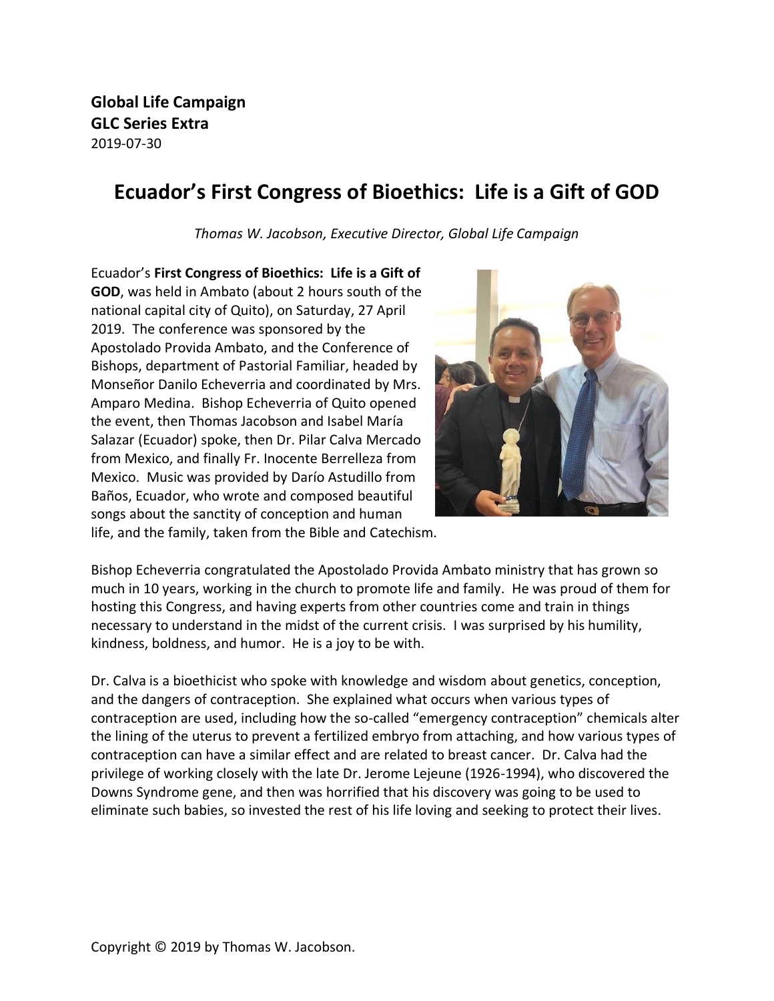**Global Life Campaign GLC Series Extra** 2019-07-30

## **Ecuador's First Congress of Bioethics: Life is a Gift of GOD**

*Thomas W. Jacobson, Executive Director, Global Life Campaign* 

Ecuador's **First Congress of Bioethics: Life is a Gift of GOD**, was held in Ambato (about 2 hours south of the national capital city of Quito), on Saturday, 27 April 2019. The conference was sponsored by the Apostolado Provida Ambato, and the Conference of Bishops, department of Pastorial Familiar, headed by Monseñor Danilo Echeverria and coordinated by Mrs. Amparo Medina. Bishop Echeverria of Quito opened the event, then Thomas Jacobson and Isabel María Salazar (Ecuador) spoke, then Dr. Pilar Calva Mercado from Mexico, and finally Fr. Inocente Berrelleza from Mexico. Music was provided by Darío Astudillo from Baños, Ecuador, who wrote and composed beautiful songs about the sanctity of conception and human



life, and the family, taken from the Bible and Catechism.

Bishop Echeverria congratulated the Apostolado Provida Ambato ministry that has grown so much in 10 years, working in the church to promote life and family. He was proud of them for hosting this Congress, and having experts from other countries come and train in things necessary to understand in the midst of the current crisis. I was surprised by his humility, kindness, boldness, and humor. He is a joy to be with.

Dr. Calva is a bioethicist who spoke with knowledge and wisdom about genetics, conception, and the dangers of contraception. She explained what occurs when various types of contraception are used, including how the so-called "emergency contraception" chemicals alter the lining of the uterus to prevent a fertilized embryo from attaching, and how various types of contraception can have a similar effect and are related to breast cancer. Dr. Calva had the privilege of working closely with the late Dr. Jerome Lejeune (1926-1994), who discovered the Downs Syndrome gene, and then was horrified that his discovery was going to be used to eliminate such babies, so invested the rest of his life loving and seeking to protect their lives.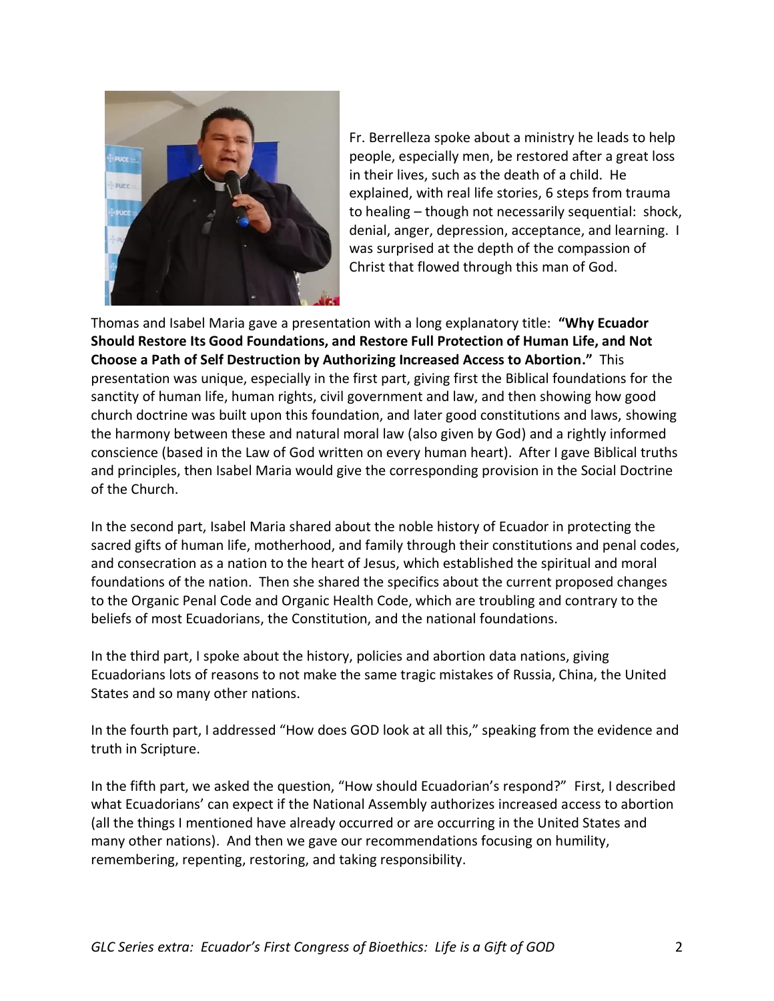

Fr. Berrelleza spoke about a ministry he leads to help people, especially men, be restored after a great loss in their lives, such as the death of a child. He explained, with real life stories, 6 steps from trauma to healing – though not necessarily sequential: shock, denial, anger, depression, acceptance, and learning. I was surprised at the depth of the compassion of Christ that flowed through this man of God.

Thomas and Isabel Maria gave a presentation with a long explanatory title: **"Why Ecuador Should Restore Its Good Foundations, and Restore Full Protection of Human Life, and Not Choose a Path of Self Destruction by Authorizing Increased Access to Abortion."** This presentation was unique, especially in the first part, giving first the Biblical foundations for the sanctity of human life, human rights, civil government and law, and then showing how good church doctrine was built upon this foundation, and later good constitutions and laws, showing the harmony between these and natural moral law (also given by God) and a rightly informed conscience (based in the Law of God written on every human heart). After I gave Biblical truths and principles, then Isabel Maria would give the corresponding provision in the Social Doctrine of the Church.

In the second part, Isabel Maria shared about the noble history of Ecuador in protecting the sacred gifts of human life, motherhood, and family through their constitutions and penal codes, and consecration as a nation to the heart of Jesus, which established the spiritual and moral foundations of the nation. Then she shared the specifics about the current proposed changes to the Organic Penal Code and Organic Health Code, which are troubling and contrary to the beliefs of most Ecuadorians, the Constitution, and the national foundations.

In the third part, I spoke about the history, policies and abortion data nations, giving Ecuadorians lots of reasons to not make the same tragic mistakes of Russia, China, the United States and so many other nations.

In the fourth part, I addressed "How does GOD look at all this," speaking from the evidence and truth in Scripture.

In the fifth part, we asked the question, "How should Ecuadorian's respond?" First, I described what Ecuadorians' can expect if the National Assembly authorizes increased access to abortion (all the things I mentioned have already occurred or are occurring in the United States and many other nations). And then we gave our recommendations focusing on humility, remembering, repenting, restoring, and taking responsibility.